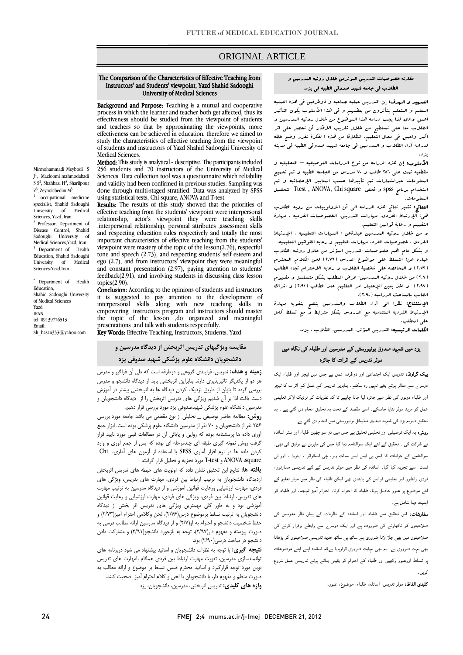# ORIGINAL ARTICLE

# The Comparison of the Characteristics of Effective Teaching from Instructors' and Students' viewpoint, Yazd Shahid Sadooghi University of Medical Sciences

ī

Background and Purpose: Teaching is a mutual and cooperative effectiveness should be studied from the viewpoint of students and teachers so that by approximating the viewpoints, more study the characteristics of effective teaching from the viewpoint of students and instructors of Yazd Shahid Sadooghi University of process in which the learner and teacher both get affected, thus its effectiveness can be achieved in education, therefore we aimed to Medical Sciences.

Method: This study is analytical - descriptive. The participants included 250 students and 70 instructors of the University of Medical<br>Sciences. Data collection tool was a questionnaire which reliability and validity had been confirmed in previous studies. Sampling was using statistical tests, Chi square, ANOVA and T-test. 256 students and 70 instructors of the University of Medical done through multi-staged stratified. Data was analyzed by SPSS

 Results: The results of this study showed that the priorities of V ا.<br>ا important characteristics of effective teaching from the students' tone and speech  $(2.73)$ , and respecting students' self esteem and ego (2.7), and from instructors' viewpoint they were meaningful feedback(2.91), and involving students in discussing class lesson effective teaching from the students' viewpoint were interpersonal relationship, actor's viewpoint they were teaching skills ,interpersonal relationship, personal attributes ,assessment skills and respecting education rules respectively and totally the most viewpoint were mastery of the topic of the lesson(2.76), respectful and constant presentation (2.97), paying attention to students' topics(2.90).

topics(2.90).<br>**Conclusion:** According to the opinions of students and instructors t j the topic of the lesson ,do organized and meaningful it is suggested to pay attention to the development of interpersonal skills along with new teaching skills in empowering instructors program and instructors should master presentations ,and talk with students respectfully.

Key Words: Effective Teaching, Instructors, Students, Yazd.

# **مقايسه ويژگيهاي تدريس اثربخش از ديدگاه مدرسين و دانشجويان دانشگاه علوم پزشكي شهيد صدوقي يزد**

 **زمينه و هدف:** تدريس، فرايندي گروهي و دوطرفه است كه طي آن فراگير و مدرس بررسي گردد تا بتوان از طريق نزديك كردن ديدگاه ها به اثربخشي بيشتر در آموزش دست يافت لذا بر آن شديم ويژگي هاي تدريس اثربخش را از ديدگاه دانشجويان و مدرسين دانشگاه علوم پزشكي شهيدصدوقي يزد مورد بررسي قرار دهيم. هر دو از يكديگر تاثيرپذيري دارند بنابراين اثربخشي بايد از ديدگاه دانشجو و مدرس

 **روش:** مطالعه حاضر توصيفي \_ تحليلي از نوع مقطعي مي باشد جامعه مورد بررسي آوري داده ها پرسشنامه بوده كه روايي و پايائي آن در مطالعات قبلي مورد تاييد قرار گرفت روش نمونه گيري طبقه اي چندمرحله اي بوده كه پس از جمع آوري و وارد كردن داده ها در نرم افزار آماري SPSS با استفاده از آزمون هاي آماري، Chi square، ANOVA و test-T مورد تجزيه و تحليل قرار گرفت. 256 نفر از دانشجويان و 70 نفر از مدرسين دانشگاه علوم پزشكي بوده است. ابزار جمع

..<br>زديدگاه دانشجويان به ترتيب ارتباط بين فردي، مهارت هاي تدريس، ويژگي هاي فردي، مهارت ارزشيابي ورعايت قوانين آموزشي و از ديدگاه مدرسين به ترتيب مهارت هاي تدريس، ارتباط بين فردي، ويژگي هاي فردي، مهارت ارزشيابي و رعايت قوانين آموزشي بود و به طور كلي مهمترين ويژگي هاي تدريس اثر بخش از ديدگاه حفظ شخصيت دانشجو و احترام به او(2/7) و از ديدگاه مدرسين ارائه مطالب درسي به صورت پيوسته و مفهوم دار(2/97)، توجه به بازخورد دانشجو(2/91) و مشاركت دادن دانشجو در مباحث درسي(2/90) بود. **يافته ها:** نتايج اين تحقيق نشان داده كه اولويت هاي حيطه هاي تدريس اثربخش دانشجويان به ترتيب تسلط برموضوع درس(2/76)، لحن وكلامي احترام آميز(2/73) و

م<del>يدو - سي**ري** به توجه به سرات ماستاريان و اسانيد پيستهاد مي سود مربردسه ساي</del><br>نوانمندسازي مدرسين، تقويت مهارت ارتباط بين فردي همگام بامهارت هاي تدريس نوين مورد توجه قرارگيرد و اساتيد محترم ضمن تسلط بر موضوع و ارائه مطالب به صورت منظم و مفهوم دار، با دانشجويان با لحن و كلام احترام آميز صحبت كنند. **واژه هاي كليدي:** تدريس اثربخش، مدرسين، دانشجويان، يزد **نتيجه گيري:** با توجه به نظرات دانشجويان و اساتيد پيشنهاد مي شود دربرنامه هاي

# مقارنه خصوصيات التدريس الموثرمن خلال روئيه المدرسين و<br>-الطلاب في جامعه شهيد صدوقي الطبيه في يزد.

Ī

ا**لتسهيد و الهدف:** إن التدريس عمليه جماعيه و ذوطرفين في هذه العمليه<br>\* اعمق وادق لذا يجب دراسه هذا الموضوع من خلال روئيه المدرسين و الطلاب معا حتي نستطيح من خلال تقريب الافكار أن نحصل علي اثر اكبر واعمق في مجال التعليم. انطلاقا من هذه ا لفكرة تقرر وضع خطه لدراسه آراء الطلاب و المدرسين في جامعه شهيد صدوقي الطبيه في مدينه المعلم و المتعلم يتأثرون من بعضهم و في هذا الأسلوب يكون التأثير يزد.

 الأسلوب: إن هذه الدراسه من نوع الدراسات التوصيفيه – التحليليه و مقطعيه تمت علي 256 طالب و 70 مدرس من الجامعه الطبيه و تم تجميع المعلومات عبراستمارات تم تأييدها حسب المعابير الإحصائيه و تم استخدام برنامج spss و فحص square Chi ,ANOVA , Ttest لتحصيل المعلومات.

 النتائج: تشير نتائج هذه الدراسه الي أن الاولوييات من رويه الطلاب هي: الإرتباط الفردي، مهارات التدريس، الخصوصيات الفرديه ، مهارة التقييم و رعاية قوانين التعليم.

صعيبهم و رحية عوانين المسيبه.<br>و من خلال روئيه البدرسين عبارةعن : البريارات التعليميه ، الإرتباط الفردي ، خصوصيات الفرد، مهارات التقييم و رعايه القوانين التعليميه.

 و بشكل عام اهم خصوصيات التدريس المؤثر من خلال روئيه الطلاب عباره عن: التسلط علي موضوع الدرس (2.76) لحن الكلام المحترم .<br>( ٢.٧ ) من خلال روئيه البدرسين؛ عرض البطلب بشكل متسلسل و مفروم (2.97) و اخذ بعين الإعتبار امر التلقيم عند الطالب (2.91) و اشراك الطالب بالمباحث الدراسيه (2.90). (2.73) و المحافضه علي شخصية الطلاب و رعايه الاحترام تجاه الطالب

 الإستنتاج: نظرا الي آراء الطلاب والمدرسين ينصح بتقويه مهارة الإرتباط الفرديه المتناسبه مع الدروس بشكل مترابط و مع تسلط كامل علي المطلب.

الكلمات الرئيسيه: التدريس المؤثر، المدرسين، الطلاب ، يزد.

## یزد میں شہید صدوق یونیورسٹی کے مدرسین اور طلباء کی نگاہ میں موثر تدریس کے اثرات کا جائزہ

 بیک گراونڈ: تدریس ایک اجتماعی اور دوطرفہ عمل ہے جس میں ٹیچر اور طلباء ایک دوسرے سے متاثر ہوئے بغیر نہیں رہ سکتے۔ بنابریں تدریس کے عمل کے اثرات کا ٹیچر اور طلباء دونوں کی نظر سے جائزہ لیا جانا چاہیے تا کہ نظریات کو نزدیک لاکر تعلیمی عمل کو مزید موثر بنایا جاسکے۔ اسی مقصد کے تحت یہ تحقیق انجام دی گئي ہے ۔ یہ تحقیق صوبہ یزد کی شہید صدوق میڈیکل یونیورسٹی میں انجام دی گئي ہے۔

 روش: یہ ایک توصیفی اور تحلیلی تحقیق ہے جس میں دو سو چھپن طلباء اور ستر اساتذہ نے شرکت کی ۔ تحقیق کے لئے ایک سوالنامہ دیا گيا جس کی ماہرین نے توثیق کی تھی۔ سوالنامے کے جوابات کا ایس پی ایس ایس سافٹ ویر، چی اسکوائر ، اینووا ، اور ٹی ٹسٹ سے تجزیہ کیا گيا۔ اساتذہ کی نظر میں موثر تدریس کے لئے تدریسی مہارتوں، فردی رابطوں اور تعلیمی قوانین کی پابندی تھی لیکن طلباء کی نظر میں موثر تعلیم کے لئے موضوع پر عبور حاصل ہونا، طلباء کا احترام کرنا، احترام آمیز لہجہ، اور طلباء کو اہمیت دینا شامل ہے۔

۔<br>**سفارشات:** اس تحقیق میں طلباء اور اساتذہ کے نظریات کے پیش نظر مدرسین کی صلاحیتوں کو نکھارنے کی ضرورت ہے اور ایک دوسرے سے رابطے برقرار کرنے کی صلاحیتوں میں بھی جلا لانا ضروری ہے ساتھ ہی ساتھ جدید تدریسی صلاحیتوں کو بڑھانا بھی بہت ضروری ہے۔ یہ بھی نہایت ضروری قرارپایا ہےکہ اساتذہ اپنے اپنے موضوعات پر تسلط اورعبور رکھیں اور طلباء کے احترام کو یقینی بناتے ہوئے تدریسی عمل شروع کریں۔

<mark>کلیدی الفاظ:</mark> موثر تدریس، اساتذہ، طلباء، موضوع، عبور۔<br>-

Mirmohammadi Meybodi S J 1 , Mazloomi mahmodabadi  $S S<sup>2</sup>$ , Shahbazi H<sup>3</sup>, Sharifpour Z<sup>3</sup>, Zeynolabedini M<sup>3</sup>

occupational medicine specialist, Shahid Sadoughi University of Medical Sciences, Yazd, Iran. 2 Professor, Department of Disease Control, Shahid Sadoughi University of Medical Sciences,Yazd, Iran. 3 Department of Health Education, Shahid Sadoughi<br>University of Medical University Sciences-Yazd,Iran.

\* Department of Health Education, Shahid Sadoughi University of Medical Sciences Yazd IRAN tel: 09139776513 Email: Sh\_hasan333@yahoo.com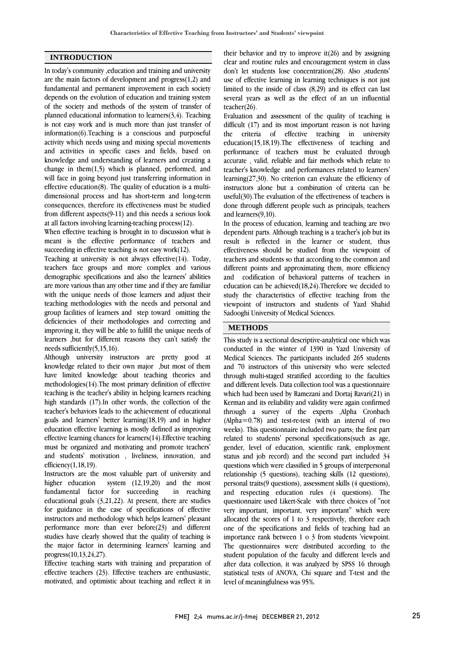### **INTRODUCTION**

In today's community ,education and training and university are the main factors of development and progress(1,2) and fundamental and permanent improvement in each society depends on the evolution of education and training system of the society and methods of the system of transfer of planned educational information to learners(3,4). Teaching is not easy work and is much more than just transfer of information(6).Teaching is a conscious and purposeful activity which needs using and mixing special movements and activities in specific cases and fields, based on knowledge and understanding of learners and creating a change in them $(1,5)$  which is planned, performed, and will face in going beyond just transferring information in effective education(8). The quality of education is a multidimensional process and has short-term and long-term consequences, therefore its effectiveness must be studied from different aspects(9-11) and this needs a serious look at all factors involving learning-teaching process(12).

When effective teaching is brought in to discussion what is meant is the effective performance of teachers and succeeding in effective teaching is not easy work(12).

Teaching at university is not always effective(14). Today, teachers face groups and more complex and various demographic specifications and also the learners' abilities are more various than any other time and if they are familiar with the unique needs of those learners and adjust their teaching methodologies with the needs and personal and group facilities of learners and step toward omitting the deficiencies of their methodologies and correcting and improving it, they will be able to fulfill the unique needs of learners ,but for different reasons they can't satisfy the needs sufficiently(5,15,16).

Although university instructors are pretty good at knowledge related to their own major ,but most of them have limited knowledge about teaching theories and methodologies(14).The most primary definition of effective teaching is the teacher's ability in helping learners reaching high standards (17).In other words, the collection of the teacher's behaviors leads to the achievement of educational goals and learners' better learning(18,19) and in higher education effective learning is mostly defined as improving effective learning chances for learners(14).Effective teaching must be organized and motivating and promote teachers' and students' motivation , liveliness, innovation, and efficiency(1,18,19).

Instructors are the most valuable part of university and higher education system (12,19,20) and the most fundamental factor for succeeding in reaching educational goals (3,21,22). At present, there are studies for guidance in the case of specifications of effective instructors and methodology which helps learners' pleasant performance more than ever before(23) and different studies have clearly showed that the quality of teaching is the major factor in determining learners' learning and progress(10,13,24,27).

Effective teaching starts with training and preparation of effective teachers (23). Effective teachers are enthusiastic, motivated, and optimistic about teaching and reflect it in

 their behavior and try to improve it(26) and by assigning clear and routine rules and encouragement system in class don't let students lose concentration(28). Also ,students' use of effective learning in learning techniques is not just several years as well as the effect of an un influential teacher(26). limited to the inside of class (8,29) and its effect can last

 Evaluation and assessment of the quality of teaching is difficult (17) and its most important reason is not having education(15,18,19).The effectiveness of teaching and performance of teachers must be evaluated through accurate , valid, reliable and fair methods which relate to teacher's knowledge and performances related to learners' instructors alone but a combination of criteria can be useful(30).The evaluation of the effectiveness of teachers is done through different people such as principals, teachers and learners(9,10). the criteria of effective teaching in university learning(27,30). No criterion can evaluate the efficiency of

dependent parts. Although teaching is a teacher's job but its result is reflected in the learner or student, thus effectiveness should be studied from the viewpoint of teachers and students so that according to the common and and codification of behavioral patterns of teachers in education can be achieved(18,24).Therefore we decided to study the characteristics of effective teaching from the viewpoint of instructors and students of Yazd Shahid Sadooghi University of Medical Sciences. In the process of education, learning and teaching are two different points and approximating them, more efficiency

## **METHODS**

 This study is a sectional descriptive-analytical one which was conducted in the winter of 1390 in Yazd University of and 70 instructors of this university who were selected through multi-staged stratified according to the faculties and different levels. Data collection tool was a questionnaire which had been used by Ramezani and Dortaj Ravari(21) in through a survey of the experts ,Alpha Cronbach (Alpha=0.78) and test-re-test (with an interval of two weeks). This questionnaire included two parts; the first part related to students' personal specifications(such as age, status and job record) and the second part included 34 questions which were classified in 5 groups of interpersonal relationship (5 questions), teaching skills (12 questions), and respecting education rules (4 questions). The questionnaire used Likert-Scale with three choices of "not very important, important, very important" which were allocated the scores of 1 to 3 respectively, therefore each one of the specifications and fields of teaching had an The questionnaires were distributed according to the student population of the faculty and different levels and after data collection, it was analyzed by SPSS 16 through statistical tests of ANOVA, Chi square and T-test and the level of meaningfulness was 95%. Medical Sciences. The participants included 265 students Kerman and its reliability and validity were again confirmed gender, level of education, scientific rank, employment personal traits(9 questions), assessment skills (4 questions), importance rank between 1 o 3 from students 'viewpoint.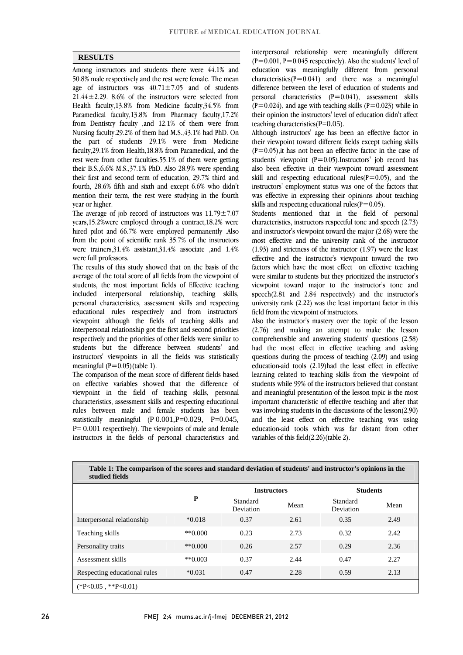$\overline{a}$  $\overline{a}$ 

### **RESULTS**

 Among instructors and students there were 44.1% and  $20.0\%$  mate respectively and the rest were remare. The incarnage of instructors was  $40.71 \pm 7.05$  and of students  $21.44 \pm 2.29$ . 8.6% of the instructors were selected from Health faculty,13.8% from Medicine faculty,34.5% from Paramedical faculty,13.8% from Pharmacy faculty,17.2% from Dentistry faculty , and  $12.1\%$  of them were from the part of students 29.1% were from Medicine faculty,29.1% from Health,18.8% from Paramedical, and the rest were from other faculties.55.1% of them were getting their first and second term of education, 29.7% third and fourth, 28.6% fifth and sixth and except 6.6% who didn't mention their term, the rest were studying in the fourth 50.8% male respectively and the rest were female. The mean Nursing faculty.29.2% of them had M.S.,43.1% had PhD. On their B.S.,6.6% M.S.,37.1% PhD. Also 28.9% were spending year or higher.

The average of job record of instructors was  $11.79 \pm 7.07$  hired pilot and 66.7% were employed permanently .Also from the point of scientific rank 35.7% of the instructors were trainers,31.4% assistant,31.4% associate ,and 1.4% years,15.2%were employed through a contract,18.2% were were full professors.

 The results of this study showed that on the basis of the average of the total score of all fields from the viewpoint of students, the most important fields of Effective teaching included interpersonal relationship, teaching skills, educational rules respectively and from instructors' viewpoint although the fields of teaching skills and interpersonal relationship got the first and second priorities respectively and the priorities of other fields were similar to instructors' viewpoints in all the fields was statistically personal characteristics, assessment skills and respecting students but the difference between students' and meaningful  $(P=0.05)$ (table 1).

 The comparison of the mean score of different fields based on effective variables showed that the difference of characteristics, assessment skills and respecting educational rules between male and female students has been statistically meaningful  $(P 0.001, P=0.029, P=0.045,$  P= 0.001 respectively). The viewpoints of male and female instructors in the fields of personal characteristics and viewpoint in the field of teaching skills, personal

 interpersonal relationship were meaningfully different  $(P=0.001, P=0.045$  respectively). Also the students' level of education was meaningfully different from personal characteristics( $P=0.041$ ) and there was a meaningful personal characteristics  $(P=0.041)$ , assessment skills  $(P=0.024)$ , and age with teaching skills  $(P=0.023)$  while in their opinion the instructors' level of education didn't affect difference between the level of education of students and teaching characteristics( $P=0.05$ ).

 Although instructors' age has been an effective factor in their viewpoint toward different fields except taching skills  $(P=0.05)$ , it has not been an effective factor in the case of students' viewpoint (P=0.05).Instructors' job record has  $s$ kill and respecting educational rules( $P=0.05$ ), and the instructors' employment status was one of the factors that was effective in expressing their opinions about teaching also been effective in their viewpoint toward assessment skills and respecting educational rules( $P=0.05$ ).

 Students mentioned that in the field of personal and instructor's viewpoint toward the major (2.68) were the most effective and the university rank of the instructor (1.93) and strictness of the instructor (1.97) were the least factors which have the most effect on effective teaching were similar to students but they prioritized the instructor's viewpoint toward major to the instructor's tone and speech(2.81 and 2.84 respectively) and the instructor's university rank  $(2.22)$  was the least important factor in this characteristics, instructors respectful tone and speech (2.73) effective and the instructor's viewpoint toward the two field from the viewpoint of instructors.

 Also the instructor's mastery over the topic of the lesson (2.76) and making an attempt to make the lesson comprehensible and answering students' questions (2.58) had the most effect in effective teaching and asking education-aid tools (2.19)had the least effect in effective learning related to teaching skills from the viewpoint of students while 99% of the instructors believed that constant important characteristic of effective teaching and after that was involving students in the discussions of the lesson(2.90) and the least effect on effective teaching was using education-aid tools which was far distant from other questions during the process of teaching (2.09) and using and meaningful presentation of the lesson topic is the most variables of this field(2.26)(table 2).

| Table 1: The comparison of the scores and standard deviation of students' and instructor's opinions in the<br>studied fields |             |                       |      |                              |      |  |  |  |
|------------------------------------------------------------------------------------------------------------------------------|-------------|-----------------------|------|------------------------------|------|--|--|--|
|                                                                                                                              |             | <b>Instructors</b>    |      | <b>Students</b>              |      |  |  |  |
|                                                                                                                              | P           | Standard<br>Deviation | Mean | Standard<br><b>Deviation</b> | Mean |  |  |  |
| Interpersonal relationship                                                                                                   | $*0.018$    | 0.37                  | 2.61 | 0.35                         | 2.49 |  |  |  |
| Teaching skills                                                                                                              | $*$ $0.000$ | 0.23                  | 2.73 | 0.32                         | 2.42 |  |  |  |
| Personality traits                                                                                                           | $**0.000$   | 0.26                  | 2.57 | 0.29                         | 2.36 |  |  |  |
| Assessment skills                                                                                                            | $**0.003$   | 0.37                  | 2.44 | 0.47                         | 2.27 |  |  |  |
| Respecting educational rules                                                                                                 | $*0.031$    | 0.47                  | 2.28 | 0.59                         | 2.13 |  |  |  |
| $(*P<0.05, **P<0.01)$                                                                                                        |             |                       |      |                              |      |  |  |  |

26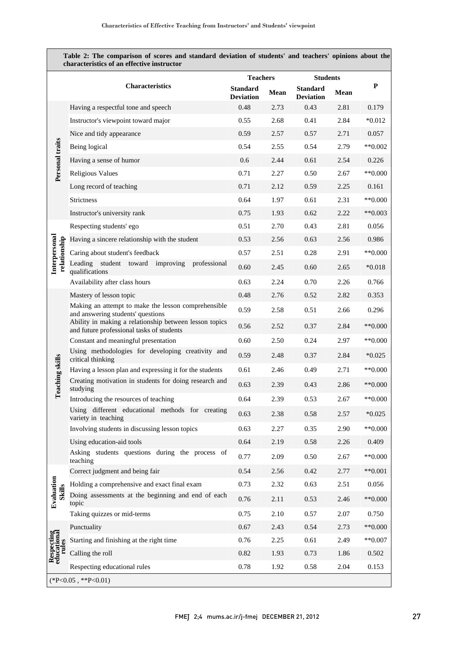| Table 2: The comparison of scores and standard deviation of students' and teachers' opinions about the<br>characteristics of an effective instructor |                                                                                                     |                                     |      |                                     |             |           |  |
|------------------------------------------------------------------------------------------------------------------------------------------------------|-----------------------------------------------------------------------------------------------------|-------------------------------------|------|-------------------------------------|-------------|-----------|--|
|                                                                                                                                                      |                                                                                                     | <b>Teachers</b>                     |      | <b>Students</b>                     |             |           |  |
|                                                                                                                                                      | <b>Characteristics</b>                                                                              | <b>Standard</b><br><b>Deviation</b> | Mean | <b>Standard</b><br><b>Deviation</b> | <b>Mean</b> | P         |  |
| Personal traits                                                                                                                                      | Having a respectful tone and speech                                                                 | 0.48                                | 2.73 | 0.43                                | 2.81        | 0.179     |  |
|                                                                                                                                                      | Instructor's viewpoint toward major                                                                 | 0.55                                | 2.68 | 0.41                                | 2.84        | $*0.012$  |  |
|                                                                                                                                                      | Nice and tidy appearance                                                                            | 0.59                                | 2.57 | 0.57                                | 2.71        | 0.057     |  |
|                                                                                                                                                      | Being logical                                                                                       | 0.54                                | 2.55 | 0.54                                | 2.79        | $**0.002$ |  |
|                                                                                                                                                      | Having a sense of humor                                                                             | 0.6                                 | 2.44 | 0.61                                | 2.54        | 0.226     |  |
|                                                                                                                                                      | <b>Religious Values</b>                                                                             | 0.71                                | 2.27 | 0.50                                | 2.67        | $**0.000$ |  |
|                                                                                                                                                      | Long record of teaching                                                                             | 0.71                                | 2.12 | 0.59                                | 2.25        | 0.161     |  |
|                                                                                                                                                      | <b>Strictness</b>                                                                                   | 0.64                                | 1.97 | 0.61                                | 2.31        | $**0.000$ |  |
|                                                                                                                                                      | Instructor's university rank                                                                        | 0.75                                | 1.93 | 0.62                                | 2.22        | $**0.003$ |  |
| Interpersonal<br>relationship                                                                                                                        | Respecting students' ego                                                                            | 0.51                                | 2.70 | 0.43                                | 2.81        | 0.056     |  |
|                                                                                                                                                      | Having a sincere relationship with the student                                                      | 0.53                                | 2.56 | 0.63                                | 2.56        | 0.986     |  |
|                                                                                                                                                      | Caring about student's feedback                                                                     | 0.57                                | 2.51 | 0.28                                | 2.91        | $**0.000$ |  |
|                                                                                                                                                      | Leading student toward improving<br>professional<br>qualifications                                  | 0.60                                | 2.45 | 0.60                                | 2.65        | $*0.018$  |  |
|                                                                                                                                                      | Availability after class hours                                                                      | 0.63                                | 2.24 | 0.70                                | 2.26        | 0.766     |  |
|                                                                                                                                                      | Mastery of lesson topic                                                                             | 0.48                                | 2.76 | 0.52                                | 2.82        | 0.353     |  |
|                                                                                                                                                      | Making an attempt to make the lesson comprehensible<br>and answering students' questions            | 0.59                                | 2.58 | 0.51                                | 2.66        | 0.296     |  |
|                                                                                                                                                      | Ability in making a relationship between lesson topics<br>and future professional tasks of students | 0.56                                | 2.52 | 0.37                                | 2.84        | $**0.000$ |  |
|                                                                                                                                                      | Constant and meaningful presentation                                                                | 0.60                                | 2.50 | 0.24                                | 2.97        | $**0.000$ |  |
|                                                                                                                                                      | Using methodologies for developing creativity and<br>critical thinking                              | 0.59                                | 2.48 | 0.37                                | 2.84        | $*0.025$  |  |
|                                                                                                                                                      | Having a lesson plan and expressing it for the students                                             | 0.61                                | 2.46 | 0.49                                | 2.71        | $**0.000$ |  |
| eaching skills                                                                                                                                       | Creating motivation in students for doing research and<br>studying                                  | 0.63                                | 2.39 | 0.43                                | 2.86        | $**0.000$ |  |
| ᄃ                                                                                                                                                    | Introducing the resources of teaching                                                               | 0.64                                | 2.39 | 0.53                                | 2.67        | $**0.000$ |  |
|                                                                                                                                                      | Using different educational methods for creating<br>variety in teaching                             | 0.63                                | 2.38 | 0.58                                | 2.57        | $*0.025$  |  |
|                                                                                                                                                      | Involving students in discussing lesson topics                                                      | 0.63                                | 2.27 | 0.35                                | 2.90        | $**0.000$ |  |
|                                                                                                                                                      | Using education-aid tools                                                                           | 0.64                                | 2.19 | $0.58\,$                            | 2.26        | 0.409     |  |
|                                                                                                                                                      | Asking students questions during the process of<br>teaching                                         | 0.77                                | 2.09 | 0.50                                | 2.67        | $**0.000$ |  |
| Evaluation<br><b>Skills</b><br>Respecting<br>educational<br>rules                                                                                    | Correct judgment and being fair                                                                     | 0.54                                | 2.56 | 0.42                                | 2.77        | $**0.001$ |  |
|                                                                                                                                                      | Holding a comprehensive and exact final exam                                                        | 0.73                                | 2.32 | 0.63                                | 2.51        | 0.056     |  |
|                                                                                                                                                      | Doing assessments at the beginning and end of each<br>topic                                         | 0.76                                | 2.11 | 0.53                                | 2.46        | $**0.000$ |  |
|                                                                                                                                                      | Taking quizzes or mid-terms                                                                         | 0.75                                | 2.10 | 0.57                                | 2.07        | 0.750     |  |
|                                                                                                                                                      | Punctuality                                                                                         | 0.67                                | 2.43 | 0.54                                | 2.73        | $**0.000$ |  |
|                                                                                                                                                      | Starting and finishing at the right time                                                            | 0.76                                | 2.25 | 0.61                                | 2.49        | $**0.007$ |  |
|                                                                                                                                                      | Calling the roll                                                                                    | 0.82                                | 1.93 | 0.73                                | 1.86        | 0.502     |  |
|                                                                                                                                                      | Respecting educational rules                                                                        | 0.78                                | 1.92 | 0.58                                | 2.04        | 0.153     |  |
|                                                                                                                                                      | $(*P<0.05, **P<0.01)$                                                                               |                                     |      |                                     |             |           |  |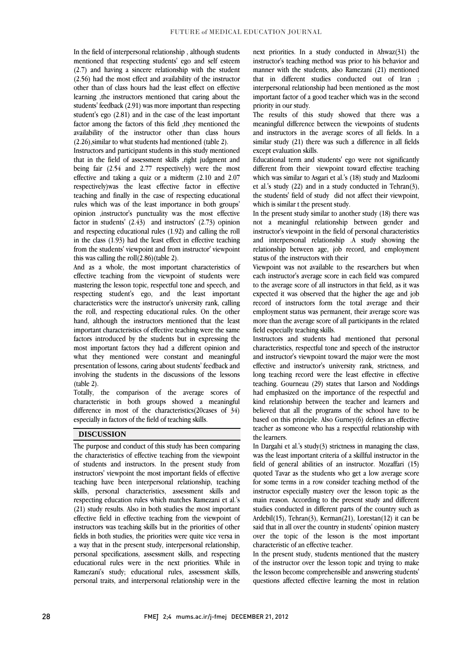In the field of interpersonal relationship , although students mentioned that respecting students' ego and self esteem (2.7) and having a sincere relationship with the student (2.56) had the most effect and availability of the instructor other than of class hours had the least effect on effective learning ,the instructors mentioned that caring about the students' feedback (2.91) was more important than respecting student's ego (2.81) and in the case of the least important factor among the factors of this field ,they mentioned the availability of the instructor other than class hours (2.26),similar to what students had mentioned (table 2).

Instructors and participant students in this study mentioned that in the field of assessment skills ,right judgment and being fair (2.54 and 2.77 respectively) were the most effective and taking a quiz or a midterm (2.10 and 2.07 respectively)was the least effective factor in effective teaching and finally in the case of respecting educational rules which was of the least importance in both groups' opinion ,instructor's punctuality was the most effective factor in students' (2.43) and instructors' (2.73) opinion and respecting educational rules (1.92) and calling the roll in the class (1.93) had the least effect in effective teaching from the students' viewpoint and from instructor' viewpoint this was calling the roll(2.86)(table 2).

And as a whole, the most important characteristics of effective teaching from the viewpoint of students were mastering the lesson topic, respectful tone and speech, and respecting student's ego, and the least important characteristics were the instructor's university rank, calling the roll, and respecting educational rules. On the other hand, although the instructors mentioned that the least important characteristics of effective teaching were the same factors introduced by the students but in expressing the most important factors they had a different opinion and what they mentioned were constant and meaningful presentation of lessons, caring about students' feedback and involving the students in the discussions of the lessons (table 2).

Totally, the comparison of the average scores of characteristic in both groups showed a meaningful difference in most of the characteristics(20cases of 34) especially in factors of the field of teaching skills.

#### **DISCUSSION**

The purpose and conduct of this study has been comparing the characteristics of effective teaching from the viewpoint of students and instructors. In the present study from instructors' viewpoint the most important fields of effective teaching have been interpersonal relationship, teaching skills, personal characteristics, assessment skills and respecting education rules which matches Ramezani et al.'s (21) study results. Also in both studies the most important effective field in effective teaching from the viewpoint of instructors was teaching skills but in the priorities of other fields in both studies, the priorities were quite vice versa in a way that in the present study, interpersonal relationship, personal specifications, assessment skills, and respecting educational rules were in the next priorities. While in Ramezani's study; educational rules, assessment skills, personal traits, and interpersonal relationship were in the next priorities. In a study conducted in Ahwaz(31) the instructor's teaching method was prior to his behavior and manner with the students, also Ramezani (21) mentioned that in different studies conducted out of Iran ; interpersonal relationship had been mentioned as the most important factor of a good teacher which was in the second priority in our study.

The results of this study showed that there was a meaningful difference between the viewpoints of students and instructors in the average scores of all fields. In a similar study (21) there was such a difference in all fields except evaluation skills.

Educational term and students' ego were not significantly different from their viewpoint toward effective teaching which was similar to Asgari et al.'s (18) study and Mazloomi et al.'s study (22) and in a study conducted in Tehran(3), the students' field of study did not affect their viewpoint, which is similar t the present study.

In the present study similar to another study (18) there was not a meaningful relationship between gender and instructor's viewpoint in the field of personal characteristics and interpersonal relationship .A study showing the relationship between age, job record, and employment status of the instructors with their

Viewpoint was not available to the researchers but when each instructor's average score in each field was compared to the average score of all instructors in that field, as it was expected it was observed that the higher the age and job record of instructors form the total average and their employment status was permanent, their average score was more than the average score of all participants in the related field especially teaching skills.

Instructors and students had mentioned that personal characteristics, respectful tone and speech of the instructor and instructor's viewpoint toward the major were the most effective and instructor's university rank, strictness, and long teaching record were the least effective in effective teaching. Gourneau (29) states that Larson and Noddings had emphasized on the importance of the respectful and kind relationship between the teacher and learners and believed that all the programs of the school have to be based on this principle. Also Gurney(6) defines an effective teacher as someone who has a respectful relationship with the learners.

In Dargahi et al.'s study(3) strictness in managing the class, was the least important criteria of a skillful instructor in the field of general abilities of an instructor. Mozaffari (15) quoted Tavar as the students who get a low average score for some terms in a row consider teaching method of the instructor especially mastery over the lesson topic as the main reason. According to the present study and different studies conducted in different parts of the country such as Ardebil(15), Tehran(3), Kerman(21), Lorestan(12) it can be said that in all over the country in students' opinion mastery over the topic of the lesson is the most important characteristic of an effective teacher.

In the present study, students mentioned that the mastery of the instructor over the lesson topic and trying to make the lesson become comprehensible and answering students' questions affected effective learning the most in relation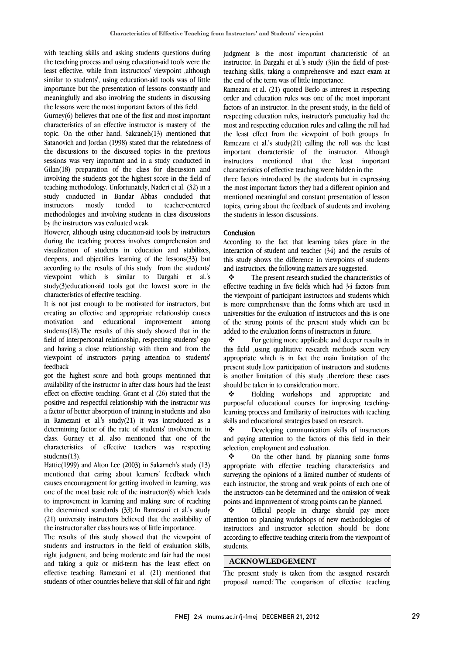with teaching skills and asking students questions during the teaching process and using education-aid tools were the least effective, while from instructors' viewpoint ,although similar to students', using education-aid tools was of little importance but the presentation of lessons constantly and meaningfully and also involving the students in discussing the lessons were the most important factors of this field.

Gurney(6) believes that one of the first and most important characteristics of an effective instructor is mastery of the topic. On the other hand, Sakraneh(13) mentioned that Satanovich and Jordan (1998) stated that the relatedness of the discussions to the discussed topics in the previous sessions was very important and in a study conducted in Gilan(18) preparation of the class for discussion and involving the students got the highest score in the field of teaching methodology. Unfortunately, Naderi et al. (32) in a study conducted in Bandar Abbas concluded that instructors mostly tended to teacher-centered methodologies and involving students in class discussions by the instructors was evaluated weak.

However, although using education-aid tools by instructors during the teaching process involves comprehension and visualization of students in education and stabilizes, deepens, and objectifies learning of the lessons(33) but according to the results of this study from the students' viewpoint which is similar to Dargahi et al.'s study(3)education-aid tools got the lowest score in the characteristics of effective teaching.

It is not just enough to be motivated for instructors, but creating an effective and appropriate relationship causes motivation and educational improvement among students(18).The results of this study showed that in the field of interpersonal relationship, respecting students' ego and having a close relationship with them and from the viewpoint of instructors paying attention to students' feedback

got the highest score and both groups mentioned that availability of the instructor in after class hours had the least effect on effective teaching. Grant et al (26) stated that the positive and respectful relationship with the instructor was a factor of better absorption of training in students and also in Ramezani et al.'s study(21) it was introduced as a determining factor of the rate of students' involvement in class. Gurney et al. also mentioned that one of the characteristics of effective teachers was respecting students(13).

Hattie(1999) and Alton Lee (2003) in Sakarneh's study (13) mentioned that caring about learners' feedback which causes encouragement for getting involved in learning, was one of the most basic role of the instructor(6) which leads to improvement in learning and making sure of reaching the determined standards (33).In Ramezani et al.'s study (21) university instructors believed that the availability of the instructor after class hours was of little importance.

The results of this study showed that the viewpoint of students and instructors in the field of evaluation skills, right judgment, and being moderate and fair had the most and taking a quiz or mid-term has the least effect on effective teaching. Ramezani et al. (21) mentioned that students of other countries believe that skill of fair and right

judgment is the most important characteristic of an instructor. In Dargahi et al.'s study (3)in the field of postteaching skills, taking a comprehensive and exact exam at the end of the term was of little importance.

Ramezani et al. (21) quoted Berlo as interest in respecting order and education rules was one of the most important factors of an instructor. In the present study, in the field of respecting education rules, instructor's punctuality had the most and respecting education rules and calling the roll had the least effect from the viewpoint of both groups. In Ramezani et al.'s study(21) calling the roll was the least important characteristic of the instructor. Although instructors mentioned that the least important characteristics of effective teaching were hidden in the three factors introduced by the students but in expressing

the most important factors they had a different opinion and mentioned meaningful and constant presentation of lesson topics, caring about the feedback of students and involving the students in lesson discussions.

### Conclusion

According to the fact that learning takes place in the interaction of student and teacher (34) and the results of this study shows the difference in viewpoints of students and instructors, the following matters are suggested.

 The present research studied the characteristics of effective teaching in five fields which had 34 factors from the viewpoint of participant instructors and students which is more comprehensive than the forms which are used in universities for the evaluation of instructors and this is one of the strong points of the present study which can be added to the evaluation forms of instructors in future.

 $\mathbf{\hat{P}}$  For getting more applicable and deeper results in this field ,using qualitative research methods seem very appropriate which is in fact the main limitation of the present study.Low participation of instructors and students is another limitation of this study ,therefore these cases should be taken in to consideration more.

 Holding workshops and appropriate and purposeful educational courses for improving teachinglearning process and familiarity of instructors with teaching skills and educational strategies based on research.

 Developing communication skills of instructors and paying attention to the factors of this field in their selection, employment and evaluation.

 On the other hand, by planning some forms appropriate with effective teaching characteristics and surveying the opinions of a limited number of students of each instructor, the strong and weak points of each one of the instructors can be determined and the omission of weak points and improvement of strong points can be planned.

 Official people in charge should pay more attention to planning workshops of new methodologies of instructors and instructor selection should be done according to effective teaching criteria from the viewpoint of students.

#### **ACKNOWLEDGEMENT**

The present study is taken from the assigned research proposal named:"The comparison of effective teaching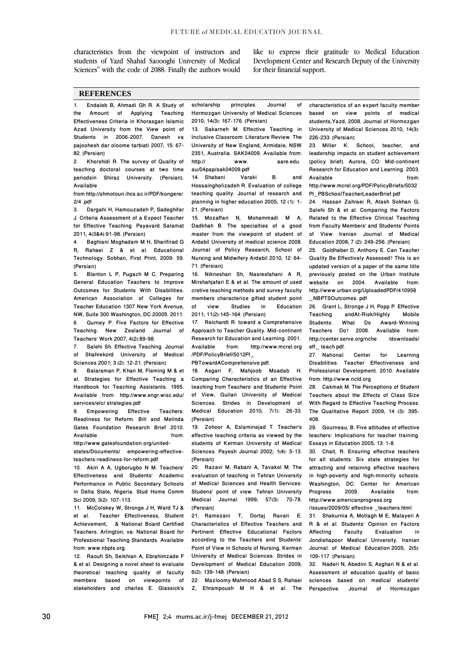characteristics from the viewpoint of instructors and students of Yazd Shahid Saoooghi University of Medical Sciences" with the code of 2088. Finally the authors would like to express their gratitude to Medical Education Development Center and Research Deputy of the University for their financial support.

#### **REFERENCES**

1. Endaleb B, Ahmadi Gh R. A Study of the Amount of Applying Teaching Effectiveness Criteria in Khorasgan Islamic Azad University from the View point of Students in 2006-2007. Danesh va pajoohesh dar oloome tarbiati 2007; 15: 67- 82. [Persian]

2. Khorshidi R. The survey of Quality of teaching doctoral courses at two time periodsin Shiraz University. [Persian]. Available

from:http://shmotoun.ihcs.ac.ir/PDF/kongere/ 2/4 .pdf

3. Dargahi H, Hamouzadeh P, Sadeghifar J. Criteria Assessment of a Expect Teacher for Effective Teaching. Payavard Salamat 2011; 4(3&4):91-98. [Persian]

4. Baghiani Moghadam M H, Sharifirad G R, Rahaei Z & et al. Educational Technology. Sobhan, First Print, 2009: 59. [Persian]

5. Blanton L P, Pugach M C. Preparing General Education Teachers to Improve Outcomes for Students With Disabilities. American Association of Colleges for Teacher Education 1307 New York Avenue, NW, Suite 300 Washington, DC 20005. 2011. 6. Gurney P. Five Factors for Effective Teaching. New Zealand Journal of Teachers' Work 2007; 4(2):89-98.

7. Salehi Sh. Effective Teaching. Journal of Shahrekord University of Medical Sciences 2001; 3 (2): 12-21. [Persian]

8. Balaraman P, Khan M, Fleming M & et al. Strategies for Effective Teaching a Handbook for Teaching Assistants. 1995. Available from: http://www.engr.wisc.edu/ services/elc/ strategies.pdf<br>9. Empowering Effective

9. Empowering Effective Teachers: Readiness for Reform. Bill and Melinda Gates Foundation Research Brief 2010. Available from:

http://www.gatesfoundation.org/unitedstates/Documents/ empowering-effectiveteachers-readiness-for-reform.pdf

10. Akiri A A, Ugborugbo N M. Teachers' Effectiveness and Students' Academic Performance in Public Secondary Schools in Delta State, Nigeria. Stud Home Comm Sci 2009; 3(2): 107-113.

11. McColskey W, Stronge J H, Ward TJ &<br>et al. Teacher Effectiveness. Student et al. Teacher Effectiveness, Student<br>Achievement. & National Board Certified & National Board Certified Teachers. Arlington, va: National Board for Professional Teaching Standards. Available from: www.nbpts.org.

12. Raoufi Sh, Seikhian A, Ebrahimzade F & et al. Designing a novel sheet to evaluate theoretical teaching quality of faculty members based on viewpoints of stakeholders and charles E. Glassick's scholarship principles. Journal of Hormozgan University of Medical Sciences 2010; 14(3): 167-176. [Persian]

13. Sakarneh M. Effective Teaching in Inclusive Classroom: Literature Review. The University of New England, Armidale, NSW 2351, Australia. SAK04009. Available from: http:// www. aare.edu.

au/04pap/sak04009.pdf 14. Shabani Varaki B. and Hossaingholizadeh R. Evaluation of college teaching quality. Journal of research and planning in higher education 2005; 12 (1): 1-

21. [Persian] 15. Mozaffari N, Mohammadi M A,

Dadkhah B. The specialties of a good master from the viewpoint of student of Ardabil University of medical science 2008. Journal of Policy Research, School of Nursing and Midwifery Ardabil 2010; 12: 64- 71. [Persian]

16. Nikneshan Sh, Nasresfahani A R, Mirshahjafari E & et al. The amount of used cretive teaching methods and survey faculty members characterize gifted student point of view. Studies in Education 2011; 11(2):145-164. [Persian]

17. Reichardt R. toward a Comprehensive Approach to Teacher Quality. Mid-continent Research for Education and Learning. 2001.<br>Available from: http://www.mcrel.org http://www.mcrel.org /PDF/PolicyBrief/5012PI\_

PBTowardAComprehensive.pdf.

18. Asgari F, Mahjoob Moadab H. Comparing Characteristics of an Effective teaching from Teachers' and Students' Point of View, Guilan University of Medical Sciences. Strides in Development of Medical Education 2010; 7(1): 26-33. [Persian]

19. Zohoor A, Eslaminejad T. Teacher's effective teaching criteria as viewed by the students of Kerman University of Medical Sciences. Payesh Journal 2002; 1(4): 5-13. [Persian]

20. Razavi M, Rabani A, Tavakol M. The evaluation of teaching in Tehran University of Medical Sciences and Health Services: Studens' point of view. Tehran University Medical Journal 1999; 57(3): 70-78. [Persian]

21. Ramezani T, Dortaj Ravari E. Characteristics of Effective Teachers and Pertinent Effective Educational Factors according to the Teachers and Students' Point of View in Schools of Nursing, Kerman University of Medical Sciences. Strides in Development of Medical Education 2009; 6(2): 139-148. [Persian]

22. Mazloomy Mahmood Abad S S, Rahaei Z, Ehrampoush M H & et al. The characteristics of an expert faculty member based on view points of medical students,Yazd, 2008. Journal of Hormozgan University of Medical Sciences 2010; 14(3): 226-233. [Persian]

23. Miller K. School, teacher, and leadership impacts on student achievement [policy brief]. Aurora, CO: Mid-continent Research for Education and Learning. 2003. Available from: http://www.mcrel.org/PDF/PolicyBriefs/5032

PI\_PBSchoolTeacherLeaderBrief.pdf

24. Hassan Zahraei R, Atash Sokhan G, Salehi Sh & et al. Comparing the Factors Related to the Effective Clinical Teaching from Faculty Members' and Students' Points of View Iranian Journal of Medical Education 2008; 7 (2): 249-256. [Persian]

25. Goldhaber D, Anthony E. Can Teacher Quality Be Effectively Assessed? This is an updated version of a paper of the same title previously posted on the Urban Institute website on 2004. Available from: http://www.urban.org/UploadedPDF/410958 \_NBPTSOutcomes. pdf

26. Grant L, Stronge J H, Popp P. Effective<br>Teaching and At-Risk/Highly Mobile andAt-Risk/Highly Students: What Do Award-Winning Teachers Do? 2008. Available from:<br>http://center.serve.org/nche. /downloads/ http://center.serve.org/nche eff\_ teach.pdf.

27. National Center for Learning Disabilities. Teacher Effectiveness and Professional Development. 2010. Available from: http://www.ncld.org

28. Cakmak M. The Perceptions of Student Teachers about the Effects of Class Size With Regard to Effective Teaching Process. The Qualitative Report 2009; 14 (3): 395- 408.

29. Gourneau, B. Five attitudes of effective teachers: Implications for teacher training. Essays in Education 2005; 13: 1-8.

30. Chait, R. Ensuring effective teachers for all students: Six state strategies for attracting and retaining effective teachers in high-poverty and high-minority schools. Washington, DC: Center for American<br>Progress 2009, Available from: Progress. http://www.americanprogress.org

/issues/2009/05/ effective \_teachers.html

31. Shakurnia A, Motlagh M E, Malayeri A R & et al. Students' Opinion on Factors Affecting Faculty Evaluation in Jondishapoor Medical University. Iranian Journal of Medical Education 2005; 2(5): 109-117. [Persian]

32. Naderi N, Abedini S, Asghari N & et al. Assessment of education quality of basic sciences based on medical students' Perspective. Journal of Hormozgan